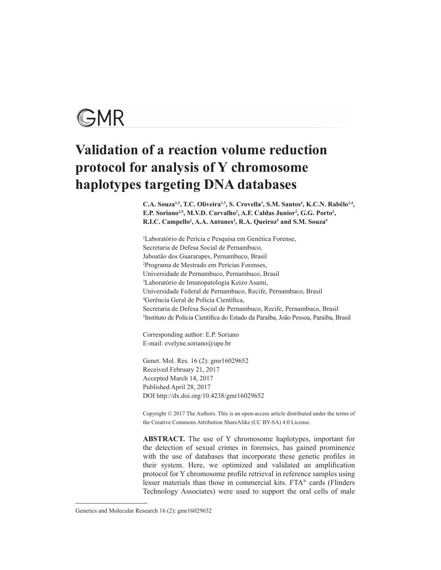# GMR

# **Validation of a reaction volume reduction protocol for analysis of Y chromosome haplotypes targeting DNA databases**

C.A. Souza<sup>1,2</sup>, T.C. Oliveira<sup>1,3</sup>, S. Crovella<sup>3</sup>, S.M. Santos<sup>4</sup>, K.C.N. Rabêlo<sup>1,4</sup>, E.P. Soriano<sup>2,5</sup>, M.V.D. Carvalho<sup>2</sup>, A.F. Caldas Junior<sup>2</sup>, G.G. Porto<sup>2</sup>, **R.I.C. Campello<sup>2</sup>, A.A. Antunes<sup>2</sup>, R.A. Queiroz<sup>5</sup> and S.M. Souza<sup>5</sup>** 

1 Laboratório de Perícia e Pesquisa em Genética Forense, Secretaria de Defesa Social de Pernambuco, Jaboatão dos Guararapes, Pernambuco, Brasil 2 Programa de Mestrado em Perícias Forenses, Universidade de Pernambuco, Pernambuco, Brasil 3 Laboratório de Imunopatologia Keizo Asami, Universidade Federal de Pernambuco, Recife, Pernambuco, Brasil 4 Gerência Geral de Polícia Científica, Secretaria de Defesa Social de Pernambuco, Recife, Pernambuco, Brasil 5 Instituto de Polícia Científica do Estado da Paraíba, João Pessoa, Paraíba, Brasil

Corresponding author: E.P. Soriano E-mail: evelyne.soriano@upe.br

Genet. Mol. Res. 16 (2): gmr16029652 Received February 21, 2017 Accepted March 14, 2017 Published April 28, 2017 DOI http://dx.doi.org/10.4238/gmr16029652

Copyright © 2017 The Authors. This is an open-access article distributed under the terms of the Creative Commons Attribution ShareAlike (CC BY-SA) 4.0 License.

**ABSTRACT.** The use of Y chromosome haplotypes, important for the detection of sexual crimes in forensics, has gained prominence with the use of databases that incorporate these genetic profiles in their system. Here, we optimized and validated an amplification protocol for Y chromosome profile retrieval in reference samples using lesser materials than those in commercial kits. FTA® cards (Flinders Technology Associates) were used to support the oral cells of male

Genetics and Molecular Research 16 (2): gmr16029652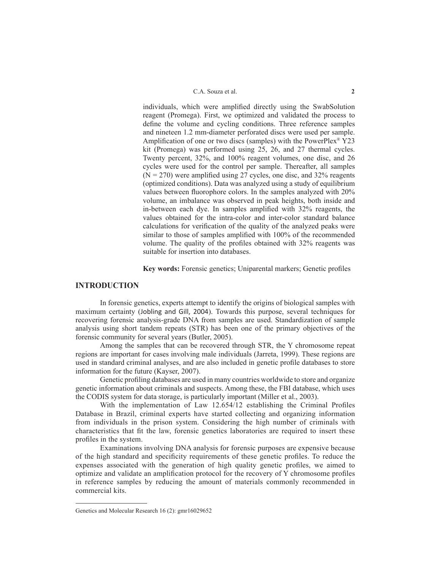#### C.A. Souza et al. **2**

individuals, which were amplified directly using the SwabSolution reagent (Promega). First, we optimized and validated the process to define the volume and cycling conditions. Three reference samples and nineteen 1.2 mm-diameter perforated discs were used per sample. Amplification of one or two discs (samples) with the PowerPlex® Y23 kit (Promega) was performed using 25, 26, and 27 thermal cycles. Twenty percent, 32%, and 100% reagent volumes, one disc, and 26 cycles were used for the control per sample. Thereafter, all samples  $(N = 270)$  were amplified using 27 cycles, one disc, and 32% reagents (optimized conditions). Data was analyzed using a study of equilibrium values between fluorophore colors. In the samples analyzed with 20% volume, an imbalance was observed in peak heights, both inside and in-between each dye. In samples amplified with 32% reagents, the values obtained for the intra-color and inter-color standard balance calculations for verification of the quality of the analyzed peaks were similar to those of samples amplified with 100% of the recommended volume. The quality of the profiles obtained with 32% reagents was suitable for insertion into databases.

**Key words:** Forensic genetics; Uniparental markers; Genetic profiles

# **INTRODUCTION**

In forensic genetics, experts attempt to identify the origins of biological samples with maximum certainty (Jobling and Gill, 2004). Towards this purpose, several techniques for recovering forensic analysis-grade DNA from samples are used. Standardization of sample analysis using short tandem repeats (STR) has been one of the primary objectives of the forensic community for several years (Butler, 2005).

Among the samples that can be recovered through STR, the Y chromosome repeat regions are important for cases involving male individuals (Jarreta, 1999). These regions are used in standard criminal analyses, and are also included in genetic profile databases to store information for the future (Kayser, 2007).

Genetic profiling databases are used in many countries worldwide to store and organize genetic information about criminals and suspects. Among these, the FBI database, which uses the CODIS system for data storage, is particularly important (Miller et al., 2003).

With the implementation of Law 12.654/12 establishing the Criminal Profiles Database in Brazil, criminal experts have started collecting and organizing information from individuals in the prison system. Considering the high number of criminals with characteristics that fit the law, forensic genetics laboratories are required to insert these profiles in the system.

Examinations involving DNA analysis for forensic purposes are expensive because of the high standard and specificity requirements of these genetic profiles. To reduce the expenses associated with the generation of high quality genetic profiles, we aimed to optimize and validate an amplification protocol for the recovery of Y chromosome profiles in reference samples by reducing the amount of materials commonly recommended in commercial kits.

Genetics and Molecular Research 16 (2): gmr16029652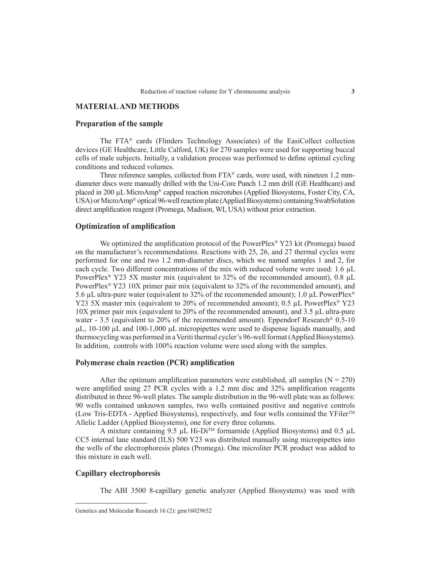# **MATERIAL AND METHODS**

#### **Preparation of the sample**

The FTA® cards (Flinders Technology Associates) of the EasiCollect collection devices (GE Healthcare, Little Calford, UK) for 270 samples were used for supporting buccal cells of male subjects. Initially, a validation process was performed to define optimal cycling conditions and reduced volumes.

Three reference samples, collected from FTA® cards, were used, with nineteen 1.2 mmdiameter discs were manually drilled with the Uni-Core Punch 1.2 mm drill (GE Healthcare) and placed in 200 µL MicroAmp® capped reaction microtubes (Applied Biosystems, Foster City, CA, USA) or MicroAmp® optical 96-well reaction plate (Applied Biosystems) containing SwabSolution direct amplification reagent (Promega, Madison, WI, USA) without prior extraction.

#### **Optimization of amplification**

We optimized the amplification protocol of the PowerPlex<sup>®</sup> Y23 kit (Promega) based on the manufacturer's recommendations. Reactions with 25, 26, and 27 thermal cycles were performed for one and two 1.2 mm-diameter discs, which we named samples 1 and 2, for each cycle. Two different concentrations of the mix with reduced volume were used: 1.6 µL PowerPlex<sup>®</sup> Y23 5X master mix (equivalent to 32% of the recommended amount), 0.8 µL PowerPlex® Y23 10X primer pair mix (equivalent to 32% of the recommended amount), and 5.6 µL ultra-pure water (equivalent to 32% of the recommended amount); 1.0 µL PowerPlex® Y23 5X master mix (equivalent to 20% of recommended amount); 0.5 µL PowerPlex<sup>®</sup> Y23 10X primer pair mix (equivalent to 20% of the recommended amount), and 3.5 µL ultra-pure water - 3.5 (equivalent to 20% of the recommended amount). Eppendorf Research® 0.5-10  $\mu$ L, 10-100  $\mu$ L and 100-1,000  $\mu$ L micropipettes were used to dispense liquids manually, and thermocycling was performed in a Veriti thermal cycler's 96-well format (Applied Biosystems). In addition, controls with 100% reaction volume were used along with the samples.

#### **Polymerase chain reaction (PCR) amplification**

After the optimum amplification parameters were established, all samples ( $N = 270$ ) were amplified using 27 PCR cycles with a 1.2 mm disc and 32% amplification reagents distributed in three 96-well plates. The sample distribution in the 96-well plate was as follows: 90 wells contained unknown samples, two wells contained positive and negative controls (Low Tris-EDTA - Applied Biosystems), respectively, and four wells contained the YFiler<sup>TM</sup> Allelic Ladder (Applied Biosystems), one for every three columns.

A mixture containing 9.5 µL Hi-Di<sup>™</sup> formamide (Applied Biosystems) and 0.5 µL CC5 internal lane standard (ILS) 500 Y23 was distributed manually using micropipettes into the wells of the electrophoresis plates (Promega). One microliter PCR product was added to this mixture in each well.

#### **Capillary electrophoresis**

The ABI 3500 8-capillary genetic analyzer (Applied Biosystems) was used with

Genetics and Molecular Research 16 (2): gmr16029652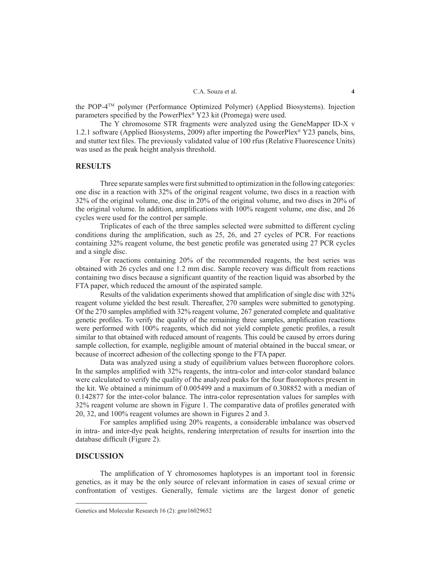#### C.A. Souza et al. **4**

the POP-4TM polymer (Performance Optimized Polymer) (Applied Biosystems). Injection parameters specified by the PowerPlex® Y23 kit (Promega) were used.

The Y chromosome STR fragments were analyzed using the GeneMapper ID-X v 1.2.1 software (Applied Biosystems, 2009) after importing the PowerPlex® Y23 panels, bins, and stutter text files. The previously validated value of 100 rfus (Relative Fluorescence Units) was used as the peak height analysis threshold.

# **RESULTS**

Three separate samples were first submitted to optimization in the following categories: one disc in a reaction with 32% of the original reagent volume, two discs in a reaction with 32% of the original volume, one disc in 20% of the original volume, and two discs in 20% of the original volume. In addition, amplifications with 100% reagent volume, one disc, and 26 cycles were used for the control per sample.

Triplicates of each of the three samples selected were submitted to different cycling conditions during the amplification, such as 25, 26, and 27 cycles of PCR. For reactions containing 32% reagent volume, the best genetic profile was generated using 27 PCR cycles and a single disc.

For reactions containing 20% of the recommended reagents, the best series was obtained with 26 cycles and one 1.2 mm disc. Sample recovery was difficult from reactions containing two discs because a significant quantity of the reaction liquid was absorbed by the FTA paper, which reduced the amount of the aspirated sample.

Results of the validation experiments showed that amplification of single disc with 32% reagent volume yielded the best result. Thereafter, 270 samples were submitted to genotyping. Of the 270 samples amplified with 32% reagent volume, 267 generated complete and qualitative genetic profiles. To verify the quality of the remaining three samples, amplification reactions were performed with 100% reagents, which did not yield complete genetic profiles, a result similar to that obtained with reduced amount of reagents. This could be caused by errors during sample collection, for example, negligible amount of material obtained in the buccal smear, or because of incorrect adhesion of the collecting sponge to the FTA paper.

Data was analyzed using a study of equilibrium values between fluorophore colors. In the samples amplified with 32% reagents, the intra-color and inter-color standard balance were calculated to verify the quality of the analyzed peaks for the four fluorophores present in the kit. We obtained a minimum of 0.005499 and a maximum of 0.308852 with a median of 0.142877 for the inter-color balance. The intra-color representation values for samples with 32% reagent volume are shown in Figure 1. The comparative data of profiles generated with 20, 32, and 100% reagent volumes are shown in Figures 2 and 3.

For samples amplified using 20% reagents, a considerable imbalance was observed in intra- and inter-dye peak heights, rendering interpretation of results for insertion into the database difficult (Figure 2).

#### **DISCUSSION**

The amplification of Y chromosomes haplotypes is an important tool in forensic genetics, as it may be the only source of relevant information in cases of sexual crime or confrontation of vestiges. Generally, female victims are the largest donor of genetic

Genetics and Molecular Research 16 (2): gmr16029652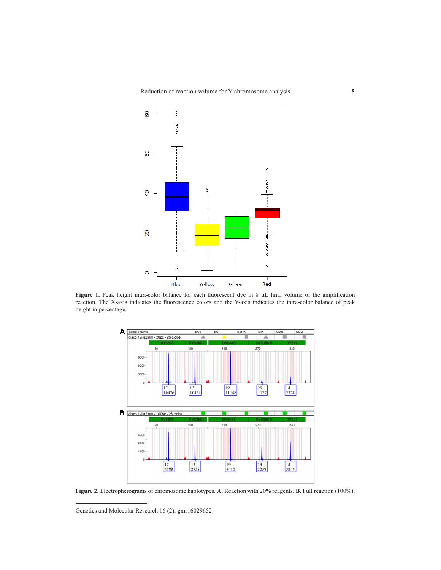

Figure 1. Peak height intra-color balance for each fluorescent dye in 8  $\mu$ L final volume of the amplification reaction. The X-axis indicates the fluorescence colors and the Y-axis indicates the intra-color balance of peak height in percentage.



**Figure 2.** Electropherograms of chromosome haplotypes. **A.** Reaction with 20% reagents. **B.** Full reaction (100%).

Genetics and Molecular Research 16 (2): gmr16029652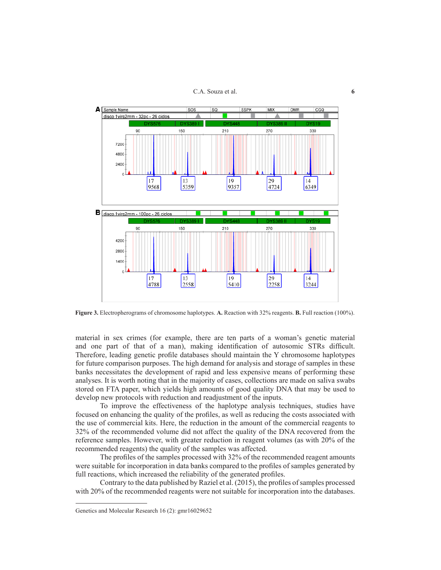C.A. Souza et al. **6**



**Figure 3.** Electropherograms of chromosome haplotypes. **A.** Reaction with 32% reagents. **B.** Full reaction (100%).

material in sex crimes (for example, there are ten parts of a woman's genetic material and one part of that of a man), making identification of autosomic STRs difficult. Therefore, leading genetic profile databases should maintain the Y chromosome haplotypes for future comparison purposes. The high demand for analysis and storage of samples in these banks necessitates the development of rapid and less expensive means of performing these analyses. It is worth noting that in the majority of cases, collections are made on saliva swabs stored on FTA paper, which yields high amounts of good quality DNA that may be used to develop new protocols with reduction and readjustment of the inputs.

To improve the effectiveness of the haplotype analysis techniques, studies have focused on enhancing the quality of the profiles, as well as reducing the costs associated with the use of commercial kits. Here, the reduction in the amount of the commercial reagents to 32% of the recommended volume did not affect the quality of the DNA recovered from the reference samples. However, with greater reduction in reagent volumes (as with 20% of the recommended reagents) the quality of the samples was affected.

The profiles of the samples processed with 32% of the recommended reagent amounts were suitable for incorporation in data banks compared to the profiles of samples generated by full reactions, which increased the reliability of the generated profiles.

Contrary to the data published by Raziel et al. (2015), the profiles of samples processed with 20% of the recommended reagents were not suitable for incorporation into the databases.

Genetics and Molecular Research 16 (2): gmr16029652